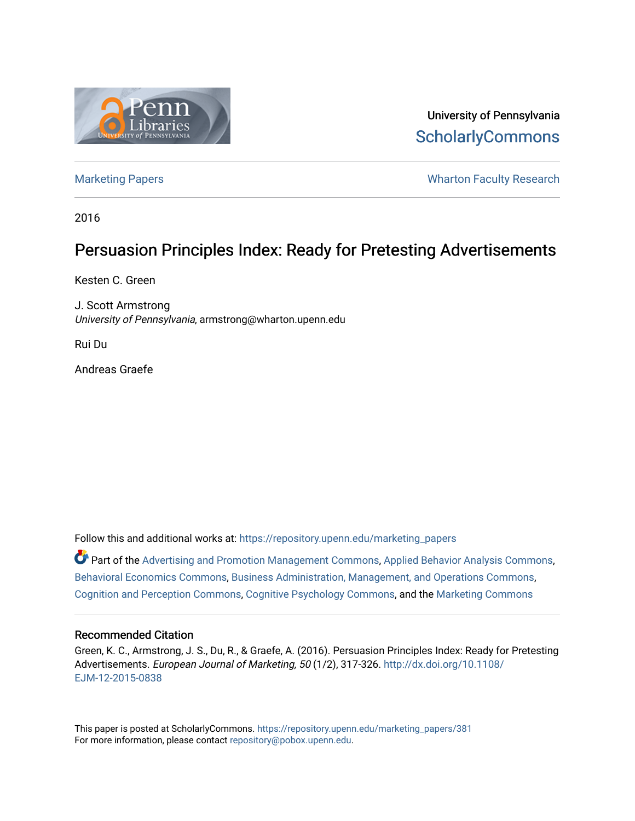

University of Pennsylvania **ScholarlyCommons** 

[Marketing Papers](https://repository.upenn.edu/marketing_papers) **Marketing Papers Marketing Papers Wharton Faculty Research** 

2016

# Persuasion Principles Index: Ready for Pretesting Advertisements

Kesten C. Green

J. Scott Armstrong University of Pennsylvania, armstrong@wharton.upenn.edu

Rui Du

Andreas Graefe

Follow this and additional works at: [https://repository.upenn.edu/marketing\\_papers](https://repository.upenn.edu/marketing_papers?utm_source=repository.upenn.edu%2Fmarketing_papers%2F381&utm_medium=PDF&utm_campaign=PDFCoverPages)

| $\bullet$ Part of the Advertising and Promotion Management Commons, Applied Behavior Analysis Commons, |
|--------------------------------------------------------------------------------------------------------|
| Behavioral Economics Commons, Business Administration, Management, and Operations Commons,             |
| Cognition and Perception Commons, Cognitive Psychology Commons, and the Marketing Commons              |

#### Recommended Citation

Green, K. C., Armstrong, J. S., Du, R., & Graefe, A. (2016). Persuasion Principles Index: Ready for Pretesting Advertisements. European Journal of Marketing, 50 (1/2), 317-326. [http://dx.doi.org/10.1108/](http://dx.doi.org/10.1108/EJM-12-2015-0838) [EJM-12-2015-0838](http://dx.doi.org/10.1108/EJM-12-2015-0838)

This paper is posted at ScholarlyCommons. [https://repository.upenn.edu/marketing\\_papers/381](https://repository.upenn.edu/marketing_papers/381)  For more information, please contact [repository@pobox.upenn.edu.](mailto:repository@pobox.upenn.edu)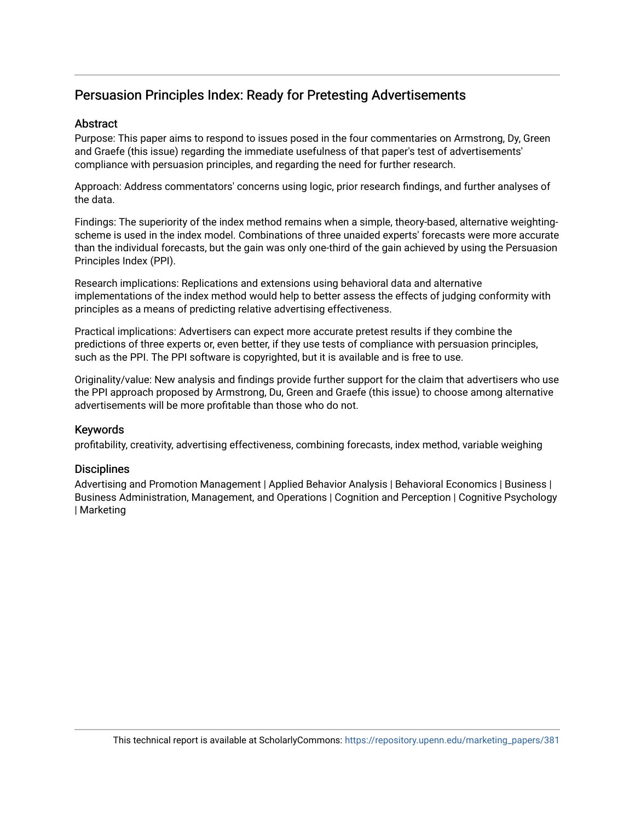## Persuasion Principles Index: Ready for Pretesting Advertisements

## **Abstract**

Purpose: This paper aims to respond to issues posed in the four commentaries on Armstrong, Dy, Green and Graefe (this issue) regarding the immediate usefulness of that paper's test of advertisements' compliance with persuasion principles, and regarding the need for further research.

Approach: Address commentators' concerns using logic, prior research findings, and further analyses of the data.

Findings: The superiority of the index method remains when a simple, theory-based, alternative weightingscheme is used in the index model. Combinations of three unaided experts' forecasts were more accurate than the individual forecasts, but the gain was only one-third of the gain achieved by using the Persuasion Principles Index (PPI).

Research implications: Replications and extensions using behavioral data and alternative implementations of the index method would help to better assess the effects of judging conformity with principles as a means of predicting relative advertising effectiveness.

Practical implications: Advertisers can expect more accurate pretest results if they combine the predictions of three experts or, even better, if they use tests of compliance with persuasion principles, such as the PPI. The PPI software is copyrighted, but it is available and is free to use.

Originality/value: New analysis and findings provide further support for the claim that advertisers who use the PPI approach proposed by Armstrong, Du, Green and Graefe (this issue) to choose among alternative advertisements will be more profitable than those who do not.

## Keywords

profitability, creativity, advertising effectiveness, combining forecasts, index method, variable weighing

## **Disciplines**

Advertising and Promotion Management | Applied Behavior Analysis | Behavioral Economics | Business | Business Administration, Management, and Operations | Cognition and Perception | Cognitive Psychology | Marketing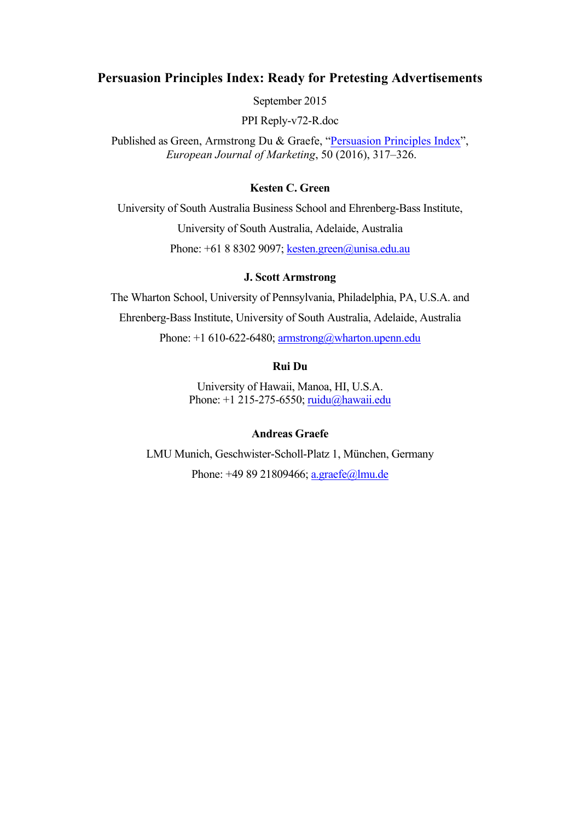## **Persuasion Principles Index: Ready for Pretesting Advertisements**

September 2015

PPI Reply-v72-R.doc

Published as Green, Armstrong Du & Graefe, "Persuasion Principles Index", *European Journal of Marketing*, 50 (2016), 317–326.

## **Kesten C. Green**

University of South Australia Business School and Ehrenberg-Bass Institute, University of South Australia, Adelaide, Australia Phone:  $+61883029097$ ; kesten.green@unisa.edu.au

## **J. Scott Armstrong**

The Wharton School, University of Pennsylvania, Philadelphia, PA, U.S.A. and Ehrenberg-Bass Institute, University of South Australia, Adelaide, Australia Phone:  $+1$  610-622-6480; armstrong@wharton.upenn.edu

#### **Rui Du**

University of Hawaii, Manoa, HI, U.S.A. Phone: +1 215-275-6550; ruidu@hawaii.edu

## **Andreas Graefe**

LMU Munich, Geschwister-Scholl-Platz 1, München, Germany

Phone: +49 89 21809466; a.graefe@lmu.de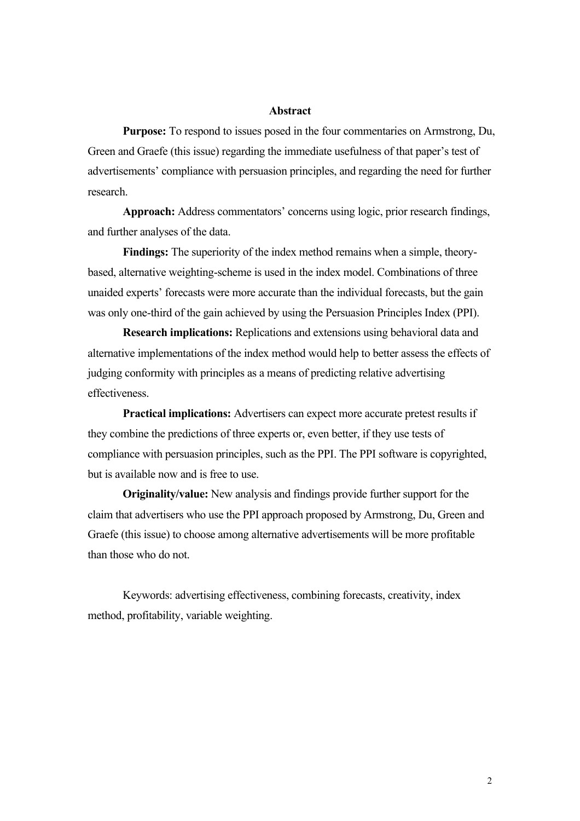#### **Abstract**

**Purpose:** To respond to issues posed in the four commentaries on Armstrong, Du, Green and Graefe (this issue) regarding the immediate usefulness of that paper's test of advertisements' compliance with persuasion principles, and regarding the need for further research.

**Approach:** Address commentators' concerns using logic, prior research findings, and further analyses of the data.

**Findings:** The superiority of the index method remains when a simple, theorybased, alternative weighting-scheme is used in the index model. Combinations of three unaided experts' forecasts were more accurate than the individual forecasts, but the gain was only one-third of the gain achieved by using the Persuasion Principles Index (PPI).

**Research implications:** Replications and extensions using behavioral data and alternative implementations of the index method would help to better assess the effects of judging conformity with principles as a means of predicting relative advertising effectiveness.

**Practical implications:** Advertisers can expect more accurate pretest results if they combine the predictions of three experts or, even better, if they use tests of compliance with persuasion principles, such as the PPI. The PPI software is copyrighted, but is available now and is free to use.

**Originality/value:** New analysis and findings provide further support for the claim that advertisers who use the PPI approach proposed by Armstrong, Du, Green and Graefe (this issue) to choose among alternative advertisements will be more profitable than those who do not.

Keywords: advertising effectiveness, combining forecasts, creativity, index method, profitability, variable weighting.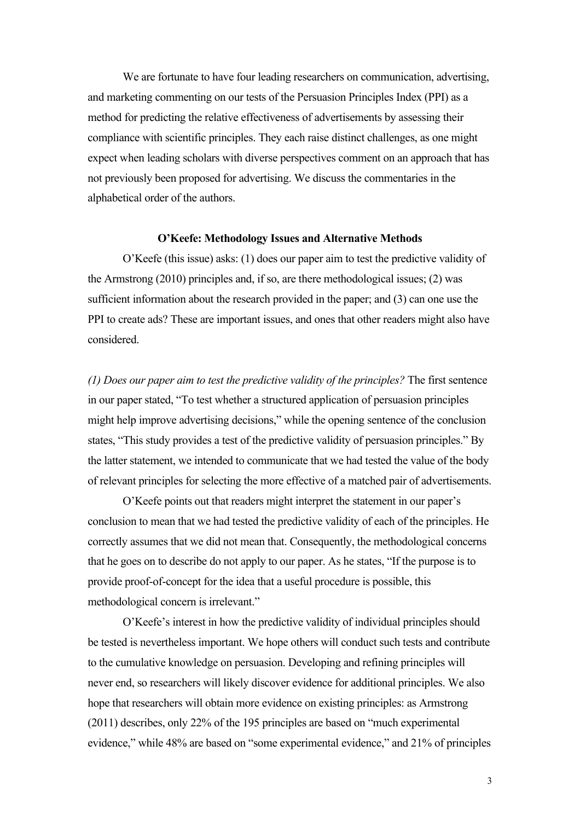We are fortunate to have four leading researchers on communication, advertising, and marketing commenting on our tests of the Persuasion Principles Index (PPI) as a method for predicting the relative effectiveness of advertisements by assessing their compliance with scientific principles. They each raise distinct challenges, as one might expect when leading scholars with diverse perspectives comment on an approach that has not previously been proposed for advertising. We discuss the commentaries in the alphabetical order of the authors.

#### **O'Keefe: Methodology Issues and Alternative Methods**

O'Keefe (this issue) asks: (1) does our paper aim to test the predictive validity of the Armstrong (2010) principles and, if so, are there methodological issues; (2) was sufficient information about the research provided in the paper; and (3) can one use the PPI to create ads? These are important issues, and ones that other readers might also have considered.

*(1) Does our paper aim to test the predictive validity of the principles?* The first sentence in our paper stated, "To test whether a structured application of persuasion principles might help improve advertising decisions," while the opening sentence of the conclusion states, "This study provides a test of the predictive validity of persuasion principles." By the latter statement, we intended to communicate that we had tested the value of the body of relevant principles for selecting the more effective of a matched pair of advertisements.

O'Keefe points out that readers might interpret the statement in our paper's conclusion to mean that we had tested the predictive validity of each of the principles. He correctly assumes that we did not mean that. Consequently, the methodological concerns that he goes on to describe do not apply to our paper. As he states, "If the purpose is to provide proof-of-concept for the idea that a useful procedure is possible, this methodological concern is irrelevant."

O'Keefe's interest in how the predictive validity of individual principles should be tested is nevertheless important. We hope others will conduct such tests and contribute to the cumulative knowledge on persuasion. Developing and refining principles will never end, so researchers will likely discover evidence for additional principles. We also hope that researchers will obtain more evidence on existing principles: as Armstrong (2011) describes, only 22% of the 195 principles are based on "much experimental evidence," while 48% are based on "some experimental evidence," and 21% of principles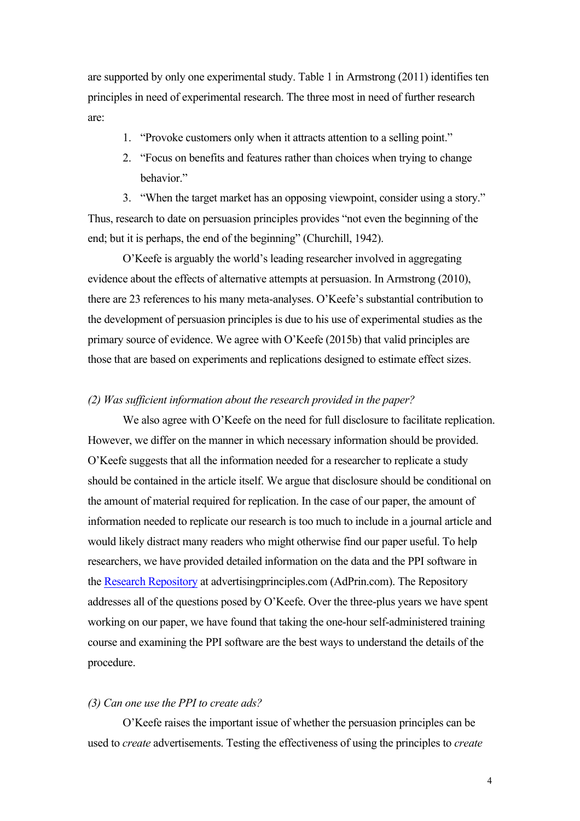are supported by only one experimental study. Table 1 in Armstrong (2011) identifies ten principles in need of experimental research. The three most in need of further research are:

- 1. "Provoke customers only when it attracts attention to a selling point."
- 2. "Focus on benefits and features rather than choices when trying to change behavior"

3. "When the target market has an opposing viewpoint, consider using a story." Thus, research to date on persuasion principles provides "not even the beginning of the end; but it is perhaps, the end of the beginning" (Churchill, 1942).

O'Keefe is arguably the world's leading researcher involved in aggregating evidence about the effects of alternative attempts at persuasion. In Armstrong (2010), there are 23 references to his many meta-analyses. O'Keefe's substantial contribution to the development of persuasion principles is due to his use of experimental studies as the primary source of evidence. We agree with O'Keefe (2015b) that valid principles are those that are based on experiments and replications designed to estimate effect sizes.

#### *(2) Was sufficient information about the research provided in the paper?*

We also agree with O'Keefe on the need for full disclosure to facilitate replication. However, we differ on the manner in which necessary information should be provided. O'Keefe suggests that all the information needed for a researcher to replicate a study should be contained in the article itself. We argue that disclosure should be conditional on the amount of material required for replication. In the case of our paper, the amount of information needed to replicate our research is too much to include in a journal article and would likely distract many readers who might otherwise find our paper useful. To help researchers, we have provided detailed information on the data and the PPI software in the Research Repository at advertisingprinciples.com (AdPrin.com). The Repository addresses all of the questions posed by O'Keefe. Over the three-plus years we have spent working on our paper, we have found that taking the one-hour self-administered training course and examining the PPI software are the best ways to understand the details of the procedure.

#### *(3) Can one use the PPI to create ads?*

O'Keefe raises the important issue of whether the persuasion principles can be used to *create* advertisements. Testing the effectiveness of using the principles to *create*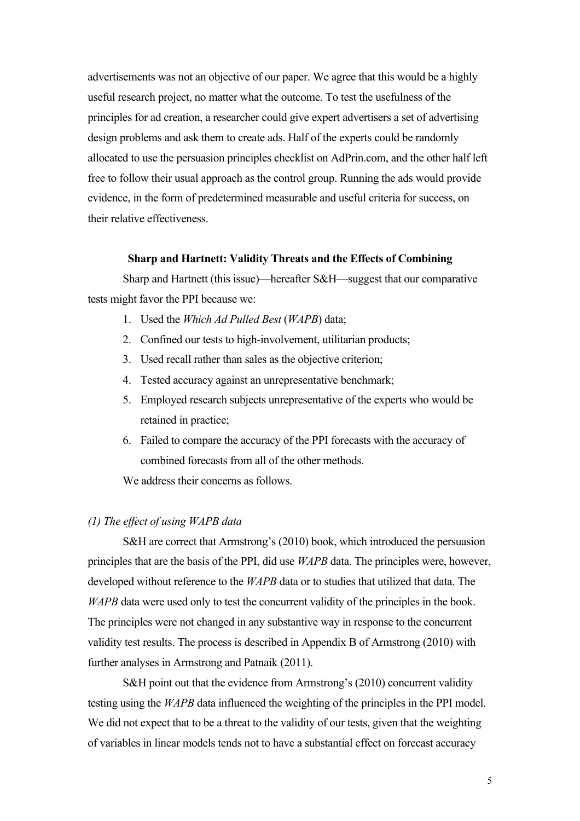advertisements was not an objective of our paper. We agree that this would be a highly useful research project, no matter what the outcome. To test the usefulness of the principles for ad creation, a researcher could give expert advertisers a set of advertising design problems and ask them to create ads. Half of the experts could be randomly allocated to use the persuasion principles checklist on AdPrin.com, and the other half left free to follow their usual approach as the control group. Running the ads would provide evidence, in the form of predetermined measurable and useful criteria for success, on their relative effectiveness.

#### **Sharp and Hartnett: Validity Threats and the Effects of Combining**

Sharp and Hartnett (this issue)—hereafter S&H—suggest that our comparative tests might favor the PPI because we:

- 1. Used the *Which Ad Pulled Best* (*WAPB*) data;
- 2. Confined our tests to high-involvement, utilitarian products;
- 3. Used recall rather than sales as the objective criterion;
- 4. Tested accuracy against an unrepresentative benchmark;
- 5. Employed research subjects unrepresentative of the experts who would be retained in practice;
- 6. Failed to compare the accuracy of the PPI forecasts with the accuracy of combined forecasts from all of the other methods.

We address their concerns as follows.

## *(1) The effect of using WAPB data*

S&H are correct that Armstrong's (2010) book, which introduced the persuasion principles that are the basis of the PPI, did use *WAPB* data. The principles were, however, developed without reference to the *WAPB* data or to studies that utilized that data. The *WAPB* data were used only to test the concurrent validity of the principles in the book. The principles were not changed in any substantive way in response to the concurrent validity test results. The process is described in Appendix B of Armstrong (2010) with further analyses in Armstrong and Patnaik (2011).

S&H point out that the evidence from Armstrong's (2010) concurrent validity testing using the *WAPB* data influenced the weighting of the principles in the PPI model. We did not expect that to be a threat to the validity of our tests, given that the weighting of variables in linear models tends not to have a substantial effect on forecast accuracy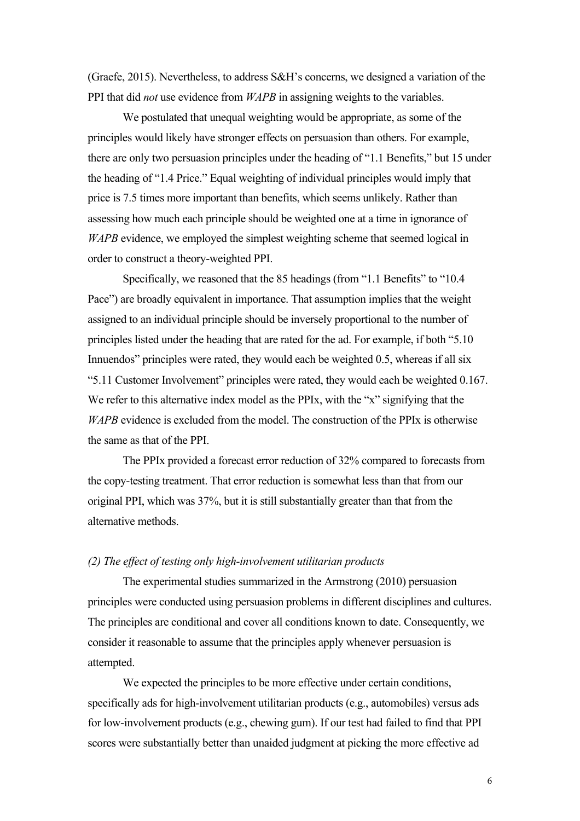(Graefe, 2015). Nevertheless, to address S&H's concerns, we designed a variation of the PPI that did *not* use evidence from *WAPB* in assigning weights to the variables.

We postulated that unequal weighting would be appropriate, as some of the principles would likely have stronger effects on persuasion than others. For example, there are only two persuasion principles under the heading of "1.1 Benefits," but 15 under the heading of "1.4 Price." Equal weighting of individual principles would imply that price is 7.5 times more important than benefits, which seems unlikely. Rather than assessing how much each principle should be weighted one at a time in ignorance of *WAPB* evidence, we employed the simplest weighting scheme that seemed logical in order to construct a theory-weighted PPI.

Specifically, we reasoned that the 85 headings (from "1.1 Benefits" to "10.4 Pace") are broadly equivalent in importance. That assumption implies that the weight assigned to an individual principle should be inversely proportional to the number of principles listed under the heading that are rated for the ad. For example, if both "5.10 Innuendos" principles were rated, they would each be weighted 0.5, whereas if all six "5.11 Customer Involvement" principles were rated, they would each be weighted 0.167. We refer to this alternative index model as the PPIx, with the "x" signifying that the *WAPB* evidence is excluded from the model. The construction of the PPIx is otherwise the same as that of the PPI.

The PPIx provided a forecast error reduction of 32% compared to forecasts from the copy-testing treatment. That error reduction is somewhat less than that from our original PPI, which was 37%, but it is still substantially greater than that from the alternative methods.

### *(2) The effect of testing only high-involvement utilitarian products*

The experimental studies summarized in the Armstrong (2010) persuasion principles were conducted using persuasion problems in different disciplines and cultures. The principles are conditional and cover all conditions known to date. Consequently, we consider it reasonable to assume that the principles apply whenever persuasion is attempted.

We expected the principles to be more effective under certain conditions, specifically ads for high-involvement utilitarian products (e.g., automobiles) versus ads for low-involvement products (e.g., chewing gum). If our test had failed to find that PPI scores were substantially better than unaided judgment at picking the more effective ad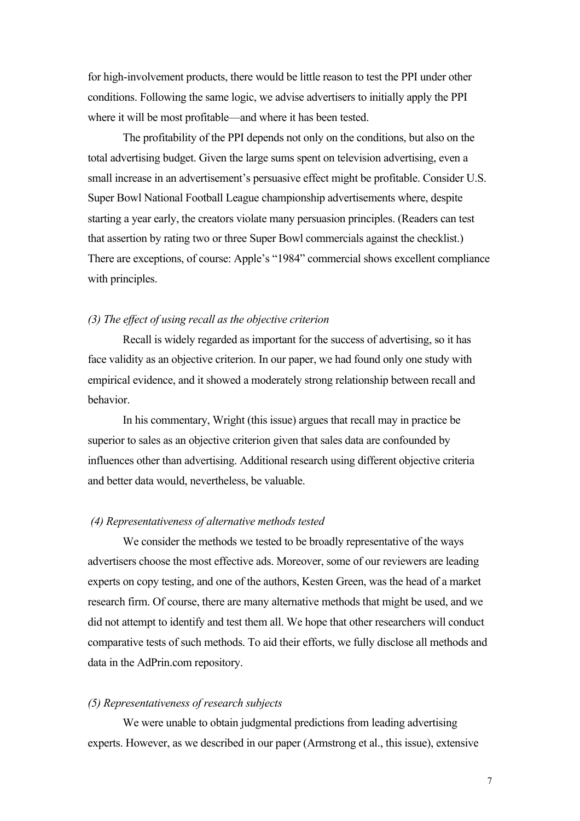for high-involvement products, there would be little reason to test the PPI under other conditions. Following the same logic, we advise advertisers to initially apply the PPI where it will be most profitable—and where it has been tested.

The profitability of the PPI depends not only on the conditions, but also on the total advertising budget. Given the large sums spent on television advertising, even a small increase in an advertisement's persuasive effect might be profitable. Consider U.S. Super Bowl National Football League championship advertisements where, despite starting a year early, the creators violate many persuasion principles. (Readers can test that assertion by rating two or three Super Bowl commercials against the checklist.) There are exceptions, of course: Apple's "1984" commercial shows excellent compliance with principles.

#### *(3) The effect of using recall as the objective criterion*

Recall is widely regarded as important for the success of advertising, so it has face validity as an objective criterion. In our paper, we had found only one study with empirical evidence, and it showed a moderately strong relationship between recall and behavior.

In his commentary, Wright (this issue) argues that recall may in practice be superior to sales as an objective criterion given that sales data are confounded by influences other than advertising. Additional research using different objective criteria and better data would, nevertheless, be valuable.

#### *(4) Representativeness of alternative methods tested*

We consider the methods we tested to be broadly representative of the ways advertisers choose the most effective ads. Moreover, some of our reviewers are leading experts on copy testing, and one of the authors, Kesten Green, was the head of a market research firm. Of course, there are many alternative methods that might be used, and we did not attempt to identify and test them all. We hope that other researchers will conduct comparative tests of such methods. To aid their efforts, we fully disclose all methods and data in the AdPrin.com repository.

## *(5) Representativeness of research subjects*

We were unable to obtain judgmental predictions from leading advertising experts. However, as we described in our paper (Armstrong et al., this issue), extensive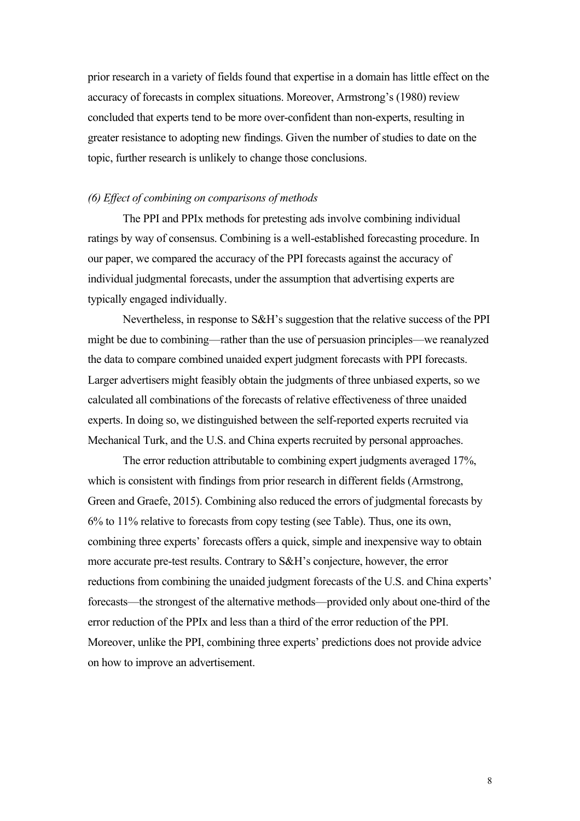prior research in a variety of fields found that expertise in a domain has little effect on the accuracy of forecasts in complex situations. Moreover, Armstrong's (1980) review concluded that experts tend to be more over-confident than non-experts, resulting in greater resistance to adopting new findings. Given the number of studies to date on the topic, further research is unlikely to change those conclusions.

#### *(6) Effect of combining on comparisons of methods*

The PPI and PPIx methods for pretesting ads involve combining individual ratings by way of consensus. Combining is a well-established forecasting procedure. In our paper, we compared the accuracy of the PPI forecasts against the accuracy of individual judgmental forecasts, under the assumption that advertising experts are typically engaged individually.

Nevertheless, in response to S&H's suggestion that the relative success of the PPI might be due to combining—rather than the use of persuasion principles—we reanalyzed the data to compare combined unaided expert judgment forecasts with PPI forecasts. Larger advertisers might feasibly obtain the judgments of three unbiased experts, so we calculated all combinations of the forecasts of relative effectiveness of three unaided experts. In doing so, we distinguished between the self-reported experts recruited via Mechanical Turk, and the U.S. and China experts recruited by personal approaches.

The error reduction attributable to combining expert judgments averaged 17%, which is consistent with findings from prior research in different fields (Armstrong, Green and Graefe, 2015). Combining also reduced the errors of judgmental forecasts by 6% to 11% relative to forecasts from copy testing (see Table). Thus, one its own, combining three experts' forecasts offers a quick, simple and inexpensive way to obtain more accurate pre-test results. Contrary to S&H's conjecture, however, the error reductions from combining the unaided judgment forecasts of the U.S. and China experts' forecasts—the strongest of the alternative methods—provided only about one-third of the error reduction of the PPIx and less than a third of the error reduction of the PPI. Moreover, unlike the PPI, combining three experts' predictions does not provide advice on how to improve an advertisement.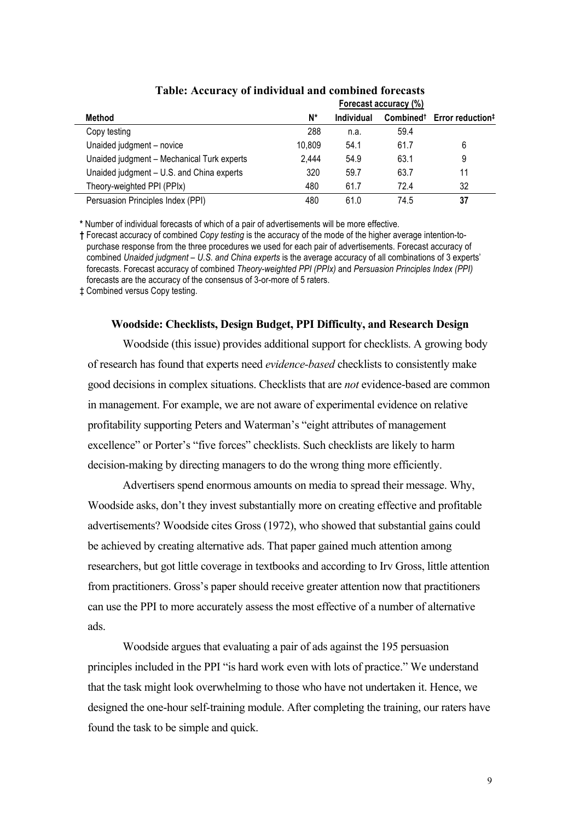|                                            | Forecast accuracy (%) |            |      |                                                    |
|--------------------------------------------|-----------------------|------------|------|----------------------------------------------------|
| Method                                     | N*                    | Individual |      | Combined <sup>†</sup> Error reduction <sup>‡</sup> |
| Copy testing                               | 288                   | n.a.       | 59.4 |                                                    |
| Unaided judgment - novice                  | 10,809                | 54.1       | 61.7 | 6                                                  |
| Unaided judgment - Mechanical Turk experts | 2.444                 | 54.9       | 63.1 | 9                                                  |
| Unaided judgment - U.S. and China experts  | 320                   | 59.7       | 63.7 | 11                                                 |
| Theory-weighted PPI (PPIx)                 | 480                   | 61.7       | 72.4 | 32                                                 |
| Persuasion Principles Index (PPI)          | 480                   | 61.0       | 74.5 | 37                                                 |

## **Table: Accuracy of individual and combined forecasts**

**\*** Number of individual forecasts of which of a pair of advertisements will be more effective.

**†** Forecast accuracy of combined *Copy testing* is the accuracy of the mode of the higher average intention-topurchase response from the three procedures we used for each pair of advertisements. Forecast accuracy of combined *Unaided judgment – U.S. and China experts* is the average accuracy of all combinations of 3 experts' forecasts. Forecast accuracy of combined *Theory-weighted PPI (PPIx)* and *Persuasion Principles Index (PPI)* forecasts are the accuracy of the consensus of 3-or-more of 5 raters.

‡ Combined versus Copy testing.

#### **Woodside: Checklists, Design Budget, PPI Difficulty, and Research Design**

Woodside (this issue) provides additional support for checklists. A growing body of research has found that experts need *evidence-based* checklists to consistently make good decisions in complex situations. Checklists that are *not* evidence-based are common in management. For example, we are not aware of experimental evidence on relative profitability supporting Peters and Waterman's "eight attributes of management excellence" or Porter's "five forces" checklists. Such checklists are likely to harm decision-making by directing managers to do the wrong thing more efficiently.

Advertisers spend enormous amounts on media to spread their message. Why, Woodside asks, don't they invest substantially more on creating effective and profitable advertisements? Woodside cites Gross (1972), who showed that substantial gains could be achieved by creating alternative ads. That paper gained much attention among researchers, but got little coverage in textbooks and according to Irv Gross, little attention from practitioners. Gross's paper should receive greater attention now that practitioners can use the PPI to more accurately assess the most effective of a number of alternative ads.

Woodside argues that evaluating a pair of ads against the 195 persuasion principles included in the PPI "is hard work even with lots of practice." We understand that the task might look overwhelming to those who have not undertaken it. Hence, we designed the one-hour self-training module. After completing the training, our raters have found the task to be simple and quick.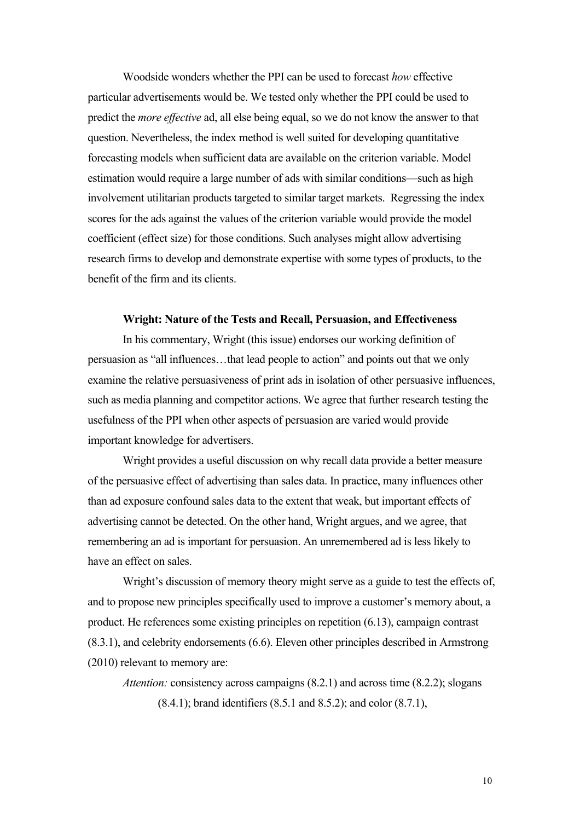Woodside wonders whether the PPI can be used to forecast *how* effective particular advertisements would be. We tested only whether the PPI could be used to predict the *more effective* ad, all else being equal, so we do not know the answer to that question. Nevertheless, the index method is well suited for developing quantitative forecasting models when sufficient data are available on the criterion variable. Model estimation would require a large number of ads with similar conditions—such as high involvement utilitarian products targeted to similar target markets. Regressing the index scores for the ads against the values of the criterion variable would provide the model coefficient (effect size) for those conditions. Such analyses might allow advertising research firms to develop and demonstrate expertise with some types of products, to the benefit of the firm and its clients.

#### **Wright: Nature of the Tests and Recall, Persuasion, and Effectiveness**

In his commentary, Wright (this issue) endorses our working definition of persuasion as "all influences…that lead people to action" and points out that we only examine the relative persuasiveness of print ads in isolation of other persuasive influences, such as media planning and competitor actions. We agree that further research testing the usefulness of the PPI when other aspects of persuasion are varied would provide important knowledge for advertisers.

Wright provides a useful discussion on why recall data provide a better measure of the persuasive effect of advertising than sales data. In practice, many influences other than ad exposure confound sales data to the extent that weak, but important effects of advertising cannot be detected. On the other hand, Wright argues, and we agree, that remembering an ad is important for persuasion. An unremembered ad is less likely to have an effect on sales

Wright's discussion of memory theory might serve as a guide to test the effects of, and to propose new principles specifically used to improve a customer's memory about, a product. He references some existing principles on repetition (6.13), campaign contrast (8.3.1), and celebrity endorsements (6.6). Eleven other principles described in Armstrong (2010) relevant to memory are:

*Attention:* consistency across campaigns (8.2.1) and across time (8.2.2); slogans (8.4.1); brand identifiers (8.5.1 and 8.5.2); and color (8.7.1),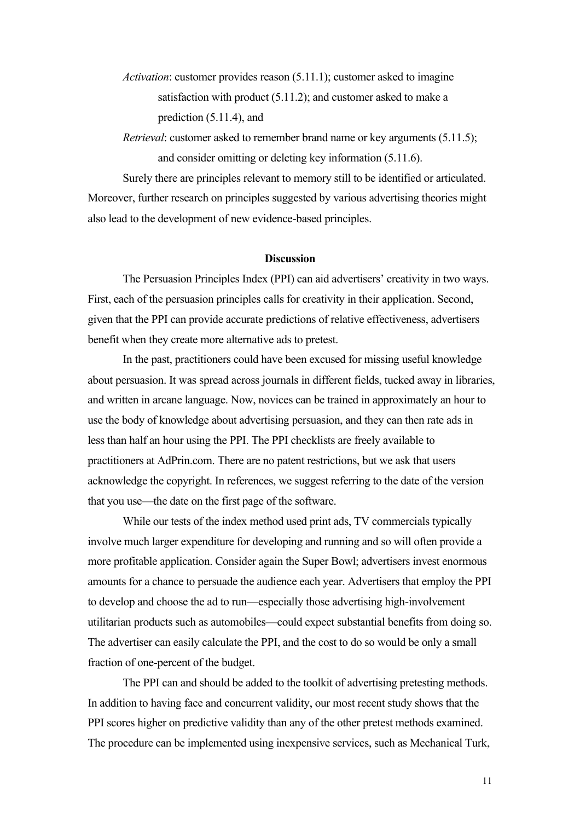*Activation*: customer provides reason (5.11.1); customer asked to imagine satisfaction with product (5.11.2); and customer asked to make a prediction (5.11.4), and

*Retrieval*: customer asked to remember brand name or key arguments (5.11.5); and consider omitting or deleting key information (5.11.6).

Surely there are principles relevant to memory still to be identified or articulated. Moreover, further research on principles suggested by various advertising theories might also lead to the development of new evidence-based principles.

#### **Discussion**

The Persuasion Principles Index (PPI) can aid advertisers' creativity in two ways. First, each of the persuasion principles calls for creativity in their application. Second, given that the PPI can provide accurate predictions of relative effectiveness, advertisers benefit when they create more alternative ads to pretest.

In the past, practitioners could have been excused for missing useful knowledge about persuasion. It was spread across journals in different fields, tucked away in libraries, and written in arcane language. Now, novices can be trained in approximately an hour to use the body of knowledge about advertising persuasion, and they can then rate ads in less than half an hour using the PPI. The PPI checklists are freely available to practitioners at AdPrin.com. There are no patent restrictions, but we ask that users acknowledge the copyright. In references, we suggest referring to the date of the version that you use—the date on the first page of the software.

While our tests of the index method used print ads, TV commercials typically involve much larger expenditure for developing and running and so will often provide a more profitable application. Consider again the Super Bowl; advertisers invest enormous amounts for a chance to persuade the audience each year. Advertisers that employ the PPI to develop and choose the ad to run—especially those advertising high-involvement utilitarian products such as automobiles—could expect substantial benefits from doing so. The advertiser can easily calculate the PPI, and the cost to do so would be only a small fraction of one-percent of the budget.

The PPI can and should be added to the toolkit of advertising pretesting methods. In addition to having face and concurrent validity, our most recent study shows that the PPI scores higher on predictive validity than any of the other pretest methods examined. The procedure can be implemented using inexpensive services, such as Mechanical Turk,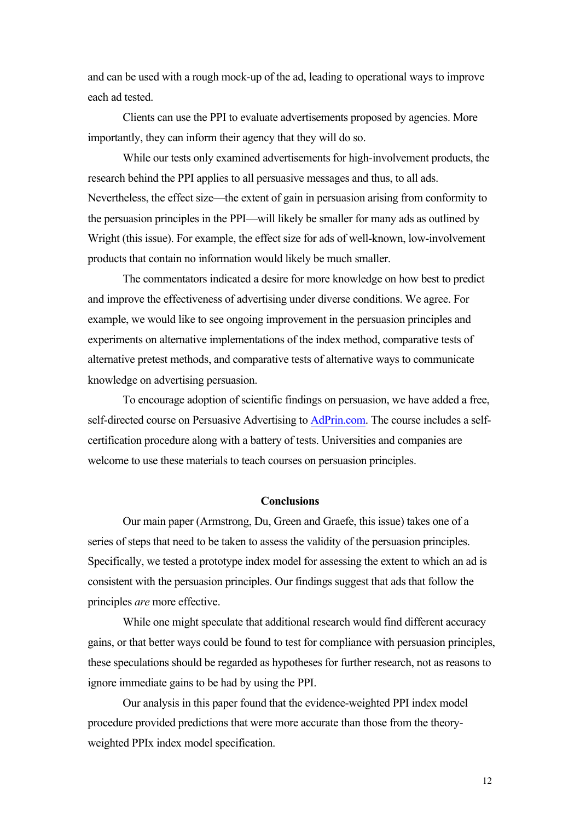and can be used with a rough mock-up of the ad, leading to operational ways to improve each ad tested.

Clients can use the PPI to evaluate advertisements proposed by agencies. More importantly, they can inform their agency that they will do so.

While our tests only examined advertisements for high-involvement products, the research behind the PPI applies to all persuasive messages and thus, to all ads. Nevertheless, the effect size—the extent of gain in persuasion arising from conformity to the persuasion principles in the PPI—will likely be smaller for many ads as outlined by Wright (this issue). For example, the effect size for ads of well-known, low-involvement products that contain no information would likely be much smaller.

The commentators indicated a desire for more knowledge on how best to predict and improve the effectiveness of advertising under diverse conditions. We agree. For example, we would like to see ongoing improvement in the persuasion principles and experiments on alternative implementations of the index method, comparative tests of alternative pretest methods, and comparative tests of alternative ways to communicate knowledge on advertising persuasion.

To encourage adoption of scientific findings on persuasion, we have added a free, self-directed course on Persuasive Advertising to AdPrin.com. The course includes a selfcertification procedure along with a battery of tests. Universities and companies are welcome to use these materials to teach courses on persuasion principles.

#### **Conclusions**

Our main paper (Armstrong, Du, Green and Graefe, this issue) takes one of a series of steps that need to be taken to assess the validity of the persuasion principles. Specifically, we tested a prototype index model for assessing the extent to which an ad is consistent with the persuasion principles. Our findings suggest that ads that follow the principles *are* more effective.

While one might speculate that additional research would find different accuracy gains, or that better ways could be found to test for compliance with persuasion principles, these speculations should be regarded as hypotheses for further research, not as reasons to ignore immediate gains to be had by using the PPI.

Our analysis in this paper found that the evidence-weighted PPI index model procedure provided predictions that were more accurate than those from the theoryweighted PPIx index model specification.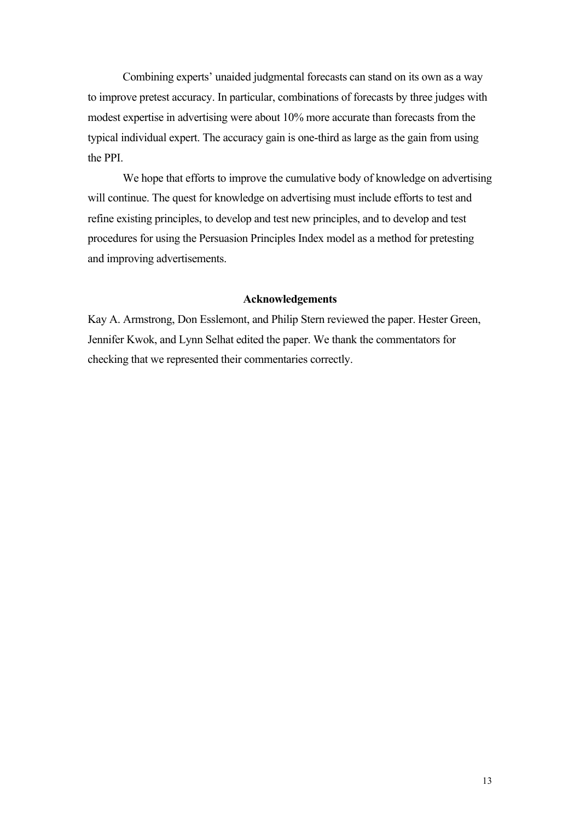Combining experts' unaided judgmental forecasts can stand on its own as a way to improve pretest accuracy. In particular, combinations of forecasts by three judges with modest expertise in advertising were about 10% more accurate than forecasts from the typical individual expert. The accuracy gain is one-third as large as the gain from using the PPI.

We hope that efforts to improve the cumulative body of knowledge on advertising will continue. The quest for knowledge on advertising must include efforts to test and refine existing principles, to develop and test new principles, and to develop and test procedures for using the Persuasion Principles Index model as a method for pretesting and improving advertisements.

#### **Acknowledgements**

Kay A. Armstrong, Don Esslemont, and Philip Stern reviewed the paper. Hester Green, Jennifer Kwok, and Lynn Selhat edited the paper. We thank the commentators for checking that we represented their commentaries correctly.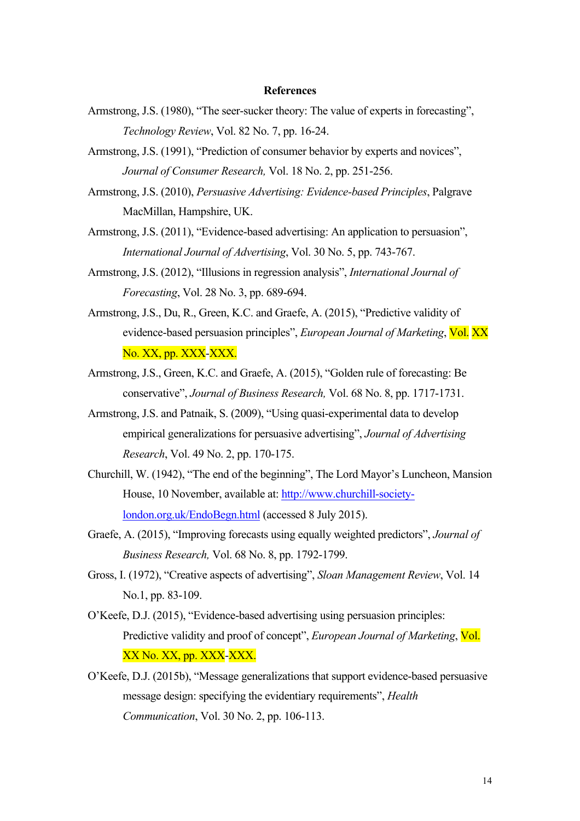## **References**

- Armstrong, J.S. (1980), "The seer-sucker theory: The value of experts in forecasting", *Technology Review*, Vol. 82 No. 7, pp. 16-24.
- Armstrong, J.S. (1991), "Prediction of consumer behavior by experts and novices", *Journal of Consumer Research,* Vol. 18 No. 2, pp. 251-256.
- Armstrong, J.S. (2010), *Persuasive Advertising: Evidence-based Principles*, Palgrave MacMillan, Hampshire, UK.
- Armstrong, J.S. (2011), "Evidence-based advertising: An application to persuasion", *International Journal of Advertising*, Vol. 30 No. 5, pp. 743-767.
- Armstrong, J.S. (2012), "Illusions in regression analysis", *International Journal of Forecasting*, Vol. 28 No. 3, pp. 689-694.
- Armstrong, J.S., Du, R., Green, K.C. and Graefe, A. (2015), "Predictive validity of evidence-based persuasion principles", *European Journal of Marketing*, Vol. XX No. XX, pp. XXX-XXX.
- Armstrong, J.S., Green, K.C. and Graefe, A. (2015), "Golden rule of forecasting: Be conservative", *Journal of Business Research,* Vol. 68 No. 8, pp. 1717-1731.
- Armstrong, J.S. and Patnaik, S. (2009), "Using quasi-experimental data to develop empirical generalizations for persuasive advertising", *Journal of Advertising Research*, Vol. 49 No. 2, pp. 170-175.
- Churchill, W. (1942), "The end of the beginning", The Lord Mayor's Luncheon, Mansion House, 10 November, available at: http://www.churchill-societylondon.org.uk/EndoBegn.html (accessed 8 July 2015).
- Graefe, A. (2015), "Improving forecasts using equally weighted predictors", *Journal of Business Research,* Vol. 68 No. 8, pp. 1792-1799.
- Gross, I. (1972), "Creative aspects of advertising", *Sloan Management Review*, Vol. 14 No.1, pp. 83-109.
- O'Keefe, D.J. (2015), "Evidence-based advertising using persuasion principles: Predictive validity and proof of concept", *European Journal of Marketing*, Vol. XX No. XX, pp. XXX-XXX.
- O'Keefe, D.J. (2015b), "Message generalizations that support evidence-based persuasive message design: specifying the evidentiary requirements", *Health Communication*, Vol. 30 No. 2, pp. 106-113.